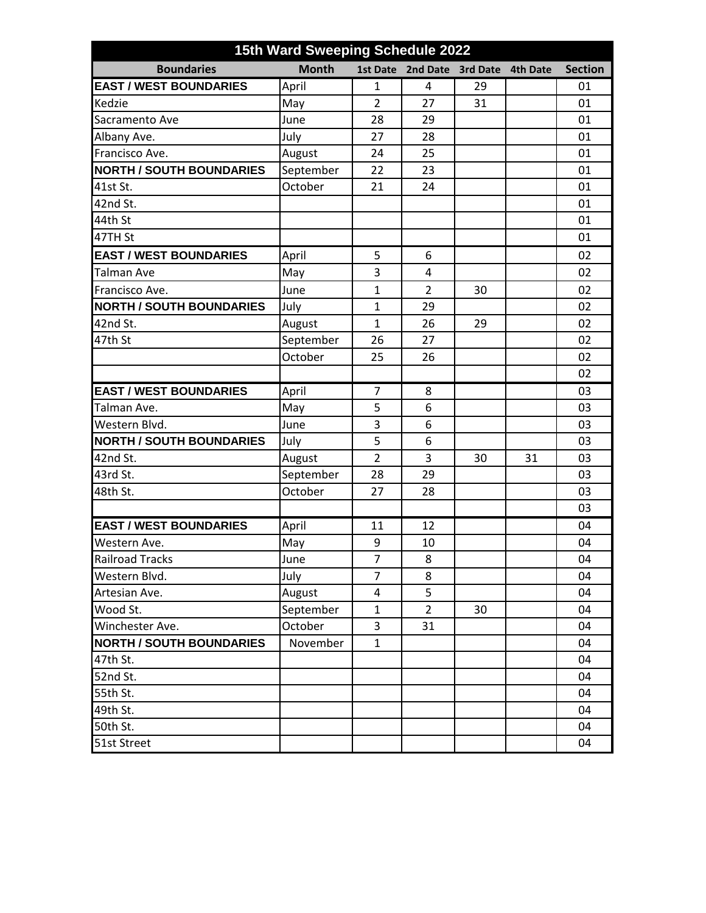| 15th Ward Sweeping Schedule 2022 |              |                |                |                 |                 |                |  |
|----------------------------------|--------------|----------------|----------------|-----------------|-----------------|----------------|--|
| <b>Boundaries</b>                | <b>Month</b> | 1st Date       | 2nd Date       | <b>3rd Date</b> | <b>4th Date</b> | <b>Section</b> |  |
| <b>EAST / WEST BOUNDARIES</b>    | April        | $\mathbf{1}$   | 4              | 29              |                 | 01             |  |
| Kedzie                           | May          | $\overline{2}$ | 27             | 31              |                 | 01             |  |
| Sacramento Ave                   | June         | 28             | 29             |                 |                 | 01             |  |
| Albany Ave.                      | July         | 27             | 28             |                 |                 | 01             |  |
| Francisco Ave.                   | August       | 24             | 25             |                 |                 | 01             |  |
| <b>NORTH / SOUTH BOUNDARIES</b>  | September    | 22             | 23             |                 |                 | 01             |  |
| 41st St.                         | October      | 21             | 24             |                 |                 | 01             |  |
| 42nd St.                         |              |                |                |                 |                 | 01             |  |
| 44th St                          |              |                |                |                 |                 | 01             |  |
| 47TH St                          |              |                |                |                 |                 | 01             |  |
| <b>EAST / WEST BOUNDARIES</b>    | April        | 5              | 6              |                 |                 | 02             |  |
| Talman Ave                       | May          | 3              | 4              |                 |                 | 02             |  |
| Francisco Ave.                   | June         | $\mathbf{1}$   | $\overline{2}$ | 30              |                 | 02             |  |
| <b>NORTH / SOUTH BOUNDARIES</b>  | July         | $\mathbf{1}$   | 29             |                 |                 | 02             |  |
| 42nd St.                         | August       | $\mathbf{1}$   | 26             | 29              |                 | 02             |  |
| 47th St                          | September    | 26             | 27             |                 |                 | 02             |  |
|                                  | October      | 25             | 26             |                 |                 | 02             |  |
|                                  |              |                |                |                 |                 | 02             |  |
| <b>EAST / WEST BOUNDARIES</b>    | April        | $\overline{7}$ | 8              |                 |                 | 03             |  |
| Talman Ave.                      | May          | 5              | 6              |                 |                 | 03             |  |
| Western Blvd.                    | June         | 3              | 6              |                 |                 | 03             |  |
| <b>NORTH / SOUTH BOUNDARIES</b>  | July         | 5              | 6              |                 |                 | 03             |  |
| 42nd St.                         | August       | $\overline{2}$ | 3              | 30              | 31              | 03             |  |
| 43rd St.                         | September    | 28             | 29             |                 |                 | 03             |  |
| 48th St.                         | October      | 27             | 28             |                 |                 | 03             |  |
|                                  |              |                |                |                 |                 | 03             |  |
| <b>EAST / WEST BOUNDARIES</b>    | April        | 11             | 12             |                 |                 | 04             |  |
| Western Ave.                     | May          | 9              | 10             |                 |                 | 04             |  |
| <b>Railroad Tracks</b>           | June         | 7              | 8              |                 |                 | 04             |  |
| Western Blvd.                    | July         | $\overline{7}$ | 8              |                 |                 | 04             |  |
| Artesian Ave.                    | August       | 4              | 5              |                 |                 | 04             |  |
| Wood St.                         | September    | $\mathbf{1}$   | $\overline{2}$ | 30              |                 | 04             |  |
| Winchester Ave.                  | October      | 3              | 31             |                 |                 | 04             |  |
| <b>NORTH / SOUTH BOUNDARIES</b>  | November     | $\mathbf{1}$   |                |                 |                 | 04             |  |
| 47th St.                         |              |                |                |                 |                 | 04             |  |
| 52nd St.                         |              |                |                |                 |                 | 04             |  |
| 55th St.                         |              |                |                |                 |                 | 04             |  |
| 49th St.                         |              |                |                |                 |                 | 04             |  |
| 50th St.                         |              |                |                |                 |                 | 04             |  |
| 51st Street                      |              |                |                |                 |                 | 04             |  |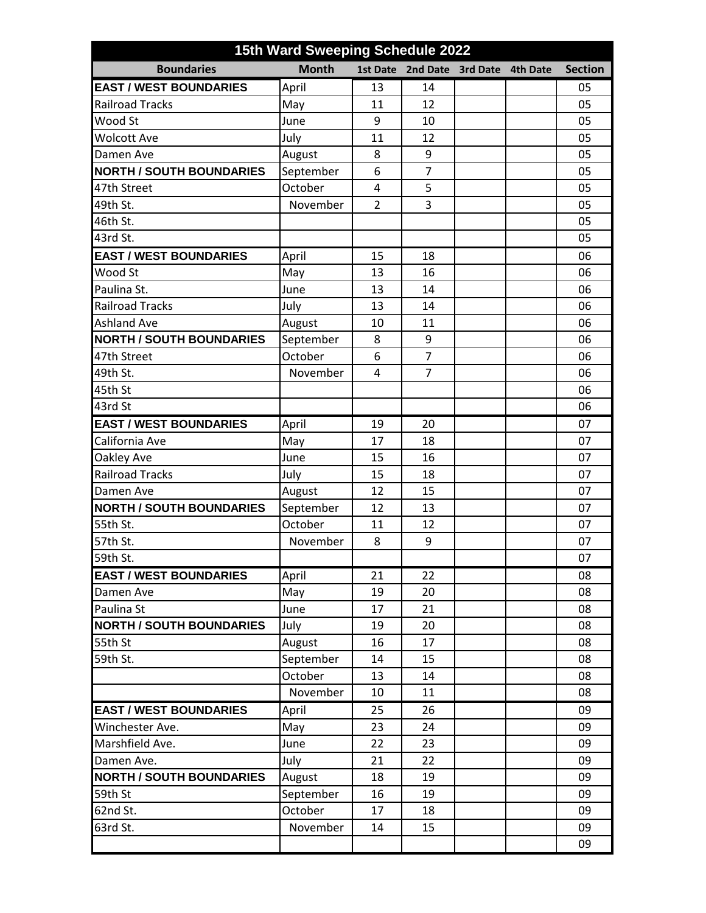| 15th Ward Sweeping Schedule 2022 |              |                 |                |                 |                 |                |  |  |
|----------------------------------|--------------|-----------------|----------------|-----------------|-----------------|----------------|--|--|
| <b>Boundaries</b>                | <b>Month</b> | <b>1st Date</b> | 2nd Date       | <b>3rd Date</b> | <b>4th Date</b> | <b>Section</b> |  |  |
| <b>EAST / WEST BOUNDARIES</b>    | April        | 13              | 14             |                 |                 | 05             |  |  |
| <b>Railroad Tracks</b>           | May          | 11              | 12             |                 |                 | 05             |  |  |
| Wood St                          | June         | 9               | 10             |                 |                 | 05             |  |  |
| <b>Wolcott Ave</b>               | July         | 11              | 12             |                 |                 | 05             |  |  |
| Damen Ave                        | August       | 8               | 9              |                 |                 | 05             |  |  |
| <b>NORTH / SOUTH BOUNDARIES</b>  | September    | 6               | $\overline{7}$ |                 |                 | 05             |  |  |
| 47th Street                      | October      | 4               | 5              |                 |                 | 05             |  |  |
| 49th St.                         | November     | $\overline{2}$  | 3              |                 |                 | 05             |  |  |
| 46th St.                         |              |                 |                |                 |                 | 05             |  |  |
| 43rd St.                         |              |                 |                |                 |                 | 05             |  |  |
| <b>EAST / WEST BOUNDARIES</b>    | April        | 15              | 18             |                 |                 | 06             |  |  |
| Wood St                          | May          | 13              | 16             |                 |                 | 06             |  |  |
| Paulina St.                      | June         | 13              | 14             |                 |                 | 06             |  |  |
| <b>Railroad Tracks</b>           | July         | 13              | 14             |                 |                 | 06             |  |  |
| <b>Ashland Ave</b>               | August       | 10              | 11             |                 |                 | 06             |  |  |
| <b>NORTH / SOUTH BOUNDARIES</b>  | September    | 8               | 9              |                 |                 | 06             |  |  |
| 47th Street                      | October      | 6               | $\overline{7}$ |                 |                 | 06             |  |  |
| 49th St.                         | November     | 4               | $\overline{7}$ |                 |                 | 06             |  |  |
| 45th St                          |              |                 |                |                 |                 | 06             |  |  |
| 43rd St                          |              |                 |                |                 |                 | 06             |  |  |
| <b>EAST / WEST BOUNDARIES</b>    | April        | 19              | 20             |                 |                 | 07             |  |  |
| California Ave                   | May          | 17              | 18             |                 |                 | 07             |  |  |
| Oakley Ave                       | June         | 15              | 16             |                 |                 | 07             |  |  |
| <b>Railroad Tracks</b>           | July         | 15              | 18             |                 |                 | 07             |  |  |
| Damen Ave                        | August       | 12              | 15             |                 |                 | 07             |  |  |
| <b>NORTH / SOUTH BOUNDARIES</b>  | September    | 12              | 13             |                 |                 | 07             |  |  |
| 55th St.                         | October      | 11              | 12             |                 |                 | 07             |  |  |
| 57th St.                         | November     | 8               | 9              |                 |                 | 07             |  |  |
| 59th St.                         |              |                 |                |                 |                 | 07             |  |  |
| <b>EAST / WEST BOUNDARIES</b>    | April        | 21              | 22             |                 |                 | 08             |  |  |
| Damen Ave                        | May          | 19              | 20             |                 |                 | 08             |  |  |
| Paulina St                       | June         | 17              | 21             |                 |                 | 08             |  |  |
| <b>NORTH / SOUTH BOUNDARIES</b>  | July         | 19              | 20             |                 |                 | 08             |  |  |
| 55th St                          | August       | 16              | 17             |                 |                 | 08             |  |  |
| 59th St.                         | September    | 14              | 15             |                 |                 | 08             |  |  |
|                                  | October      | 13              | 14             |                 |                 | 08             |  |  |
|                                  | November     | 10              | 11             |                 |                 | 08             |  |  |
| <b>EAST / WEST BOUNDARIES</b>    | April        | 25              | 26             |                 |                 | 09             |  |  |
| Winchester Ave.                  | May          | 23              | 24             |                 |                 | 09             |  |  |
| Marshfield Ave.                  | June         | 22              | 23             |                 |                 | 09             |  |  |
| Damen Ave.                       | July         | 21              | 22             |                 |                 | 09             |  |  |
| <b>NORTH / SOUTH BOUNDARIES</b>  | August       | 18              | 19             |                 |                 | 09             |  |  |
| 59th St                          | September    | 16              | 19             |                 |                 | 09             |  |  |
| 62nd St.                         | October      | 17              | 18             |                 |                 | 09             |  |  |
| 63rd St.                         | November     | 14              | 15             |                 |                 | 09             |  |  |
|                                  |              |                 |                |                 |                 | 09             |  |  |